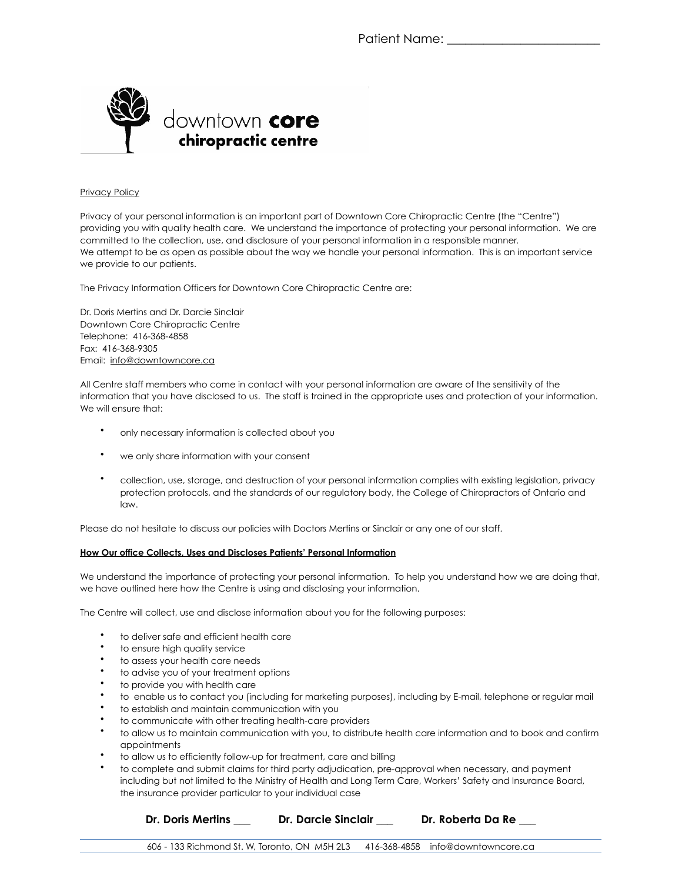

## Privacy Policy

Privacy of your personal information is an important part of Downtown Core Chiropractic Centre (the "Centre") providing you with quality health care. We understand the importance of protecting your personal information. We are committed to the collection, use, and disclosure of your personal information in a responsible manner. We attempt to be as open as possible about the way we handle your personal information. This is an important service we provide to our patients.

The Privacy Information Officers for Downtown Core Chiropractic Centre are:

Dr. Doris Mertins and Dr. Darcie Sinclair Downtown Core Chiropractic Centre Telephone: 416-368-4858 Fax: 416-368-9305 Email: [info@downtowncore.ca](mailto:info@downtowncore.ca)

All Centre staff members who come in contact with your personal information are aware of the sensitivity of the information that you have disclosed to us. The staff is trained in the appropriate uses and protection of your information. We will ensure that:

- only necessary information is collected about you
- we only share information with your consent
- collection, use, storage, and destruction of your personal information complies with existing legislation, privacy protection protocols, and the standards of our regulatory body, the College of Chiropractors of Ontario and law.

Please do not hesitate to discuss our policies with Doctors Mertins or Sinclair or any one of our staff.

## **How Our office Collects, Uses and Discloses Patients' Personal Information**

We understand the importance of protecting your personal information. To help you understand how we are doing that, we have outlined here how the Centre is using and disclosing your information.

The Centre will collect, use and disclose information about you for the following purposes:

- to deliver safe and efficient health care
- to ensure high quality service
- to assess your health care needs
- to advise you of your treatment options
- to provide you with health care
- to enable us to contact you (including for marketing purposes), including by E-mail, telephone or regular mail
- to establish and maintain communication with you
- to communicate with other treating health-care providers
- to allow us to maintain communication with you, to distribute health care information and to book and confirm appointments
- to allow us to efficiently follow-up for treatment, care and billing
- to complete and submit claims for third party adjudication, pre-approval when necessary, and payment including but not limited to the Ministry of Health and Long Term Care, Workers' Safety and Insurance Board, the insurance provider particular to your individual case

**Dr. Doris Mertins \_\_\_ Dr. Darcie Sinclair \_\_\_ Dr. Roberta Da Re \_\_\_**

606 - 133 Richmond St. W, Toronto, ON M5H 2L3 416-368-4858 info@downtowncore.ca